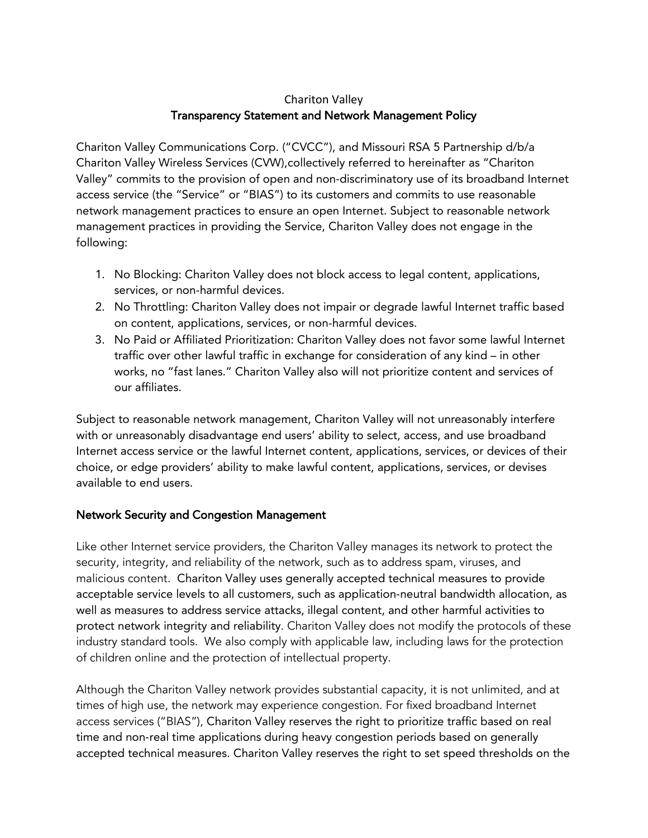# Chariton Valley Transparency Statement and Network Management Policy

Chariton Valley Communications Corp. ("CVCC"), and Missouri RSA 5 Partnership d/b/a Chariton Valley Wireless Services (CVW),collectively referred to hereinafter as "Chariton Valley" commits to the provision of open and non‐discriminatory use of its broadband Internet access service (the "Service" or "BIAS") to its customers and commits to use reasonable network management practices to ensure an open Internet. Subject to reasonable network management practices in providing the Service, Chariton Valley does not engage in the following:

- 1. No Blocking: Chariton Valley does not block access to legal content, applications, services, or non-harmful devices.
- 2. No Throttling: Chariton Valley does not impair or degrade lawful Internet traffic based on content, applications, services, or non-harmful devices.
- 3. No Paid or Affiliated Prioritization: Chariton Valley does not favor some lawful Internet traffic over other lawful traffic in exchange for consideration of any kind – in other works, no "fast lanes." Chariton Valley also will not prioritize content and services of our affiliates.

Subject to reasonable network management, Chariton Valley will not unreasonably interfere with or unreasonably disadvantage end users' ability to select, access, and use broadband Internet access service or the lawful Internet content, applications, services, or devices of their choice, or edge providers' ability to make lawful content, applications, services, or devises available to end users.

## Network Security and Congestion Management

Like other Internet service providers, the Chariton Valley manages its network to protect the security, integrity, and reliability of the network, such as to address spam, viruses, and malicious content. Chariton Valley uses generally accepted technical measures to provide acceptable service levels to all customers, such as application‐neutral bandwidth allocation, as well as measures to address service attacks, illegal content, and other harmful activities to protect network integrity and reliability. Chariton Valley does not modify the protocols of these industry standard tools. We also comply with applicable law, including laws for the protection of children online and the protection of intellectual property.

Although the Chariton Valley network provides substantial capacity, it is not unlimited, and at times of high use, the network may experience congestion. For fixed broadband Internet access services ("BIAS"), Chariton Valley reserves the right to prioritize traffic based on real time and non‐real time applications during heavy congestion periods based on generally accepted technical measures. Chariton Valley reserves the right to set speed thresholds on the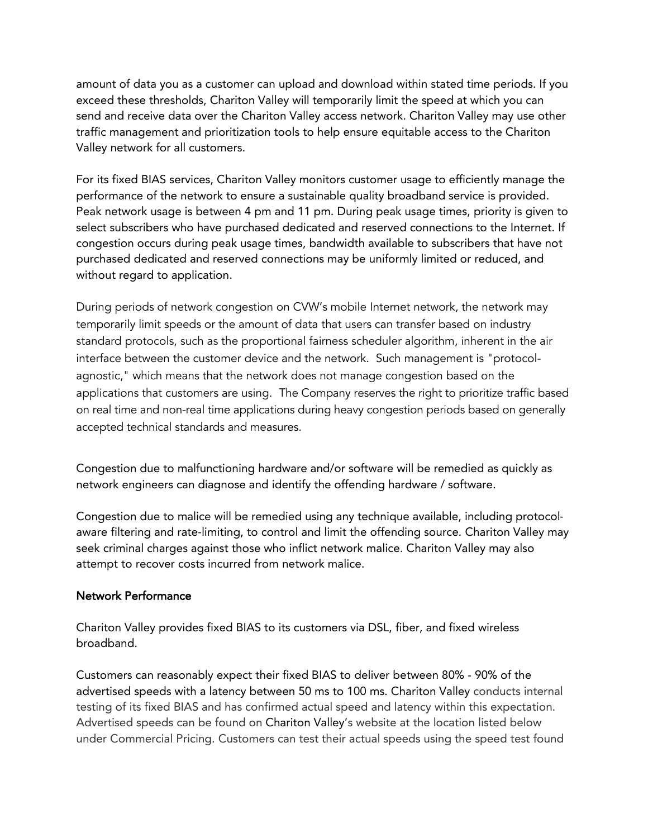amount of data you as a customer can upload and download within stated time periods. If you exceed these thresholds, Chariton Valley will temporarily limit the speed at which you can send and receive data over the Chariton Valley access network. Chariton Valley may use other traffic management and prioritization tools to help ensure equitable access to the Chariton Valley network for all customers.

For its fixed BIAS services, Chariton Valley monitors customer usage to efficiently manage the performance of the network to ensure a sustainable quality broadband service is provided. Peak network usage is between 4 pm and 11 pm. During peak usage times, priority is given to select subscribers who have purchased dedicated and reserved connections to the Internet. If congestion occurs during peak usage times, bandwidth available to subscribers that have not purchased dedicated and reserved connections may be uniformly limited or reduced, and without regard to application.

During periods of network congestion on CVW's mobile Internet network, the network may temporarily limit speeds or the amount of data that users can transfer based on industry standard protocols, such as the proportional fairness scheduler algorithm, inherent in the air interface between the customer device and the network. Such management is "protocolagnostic," which means that the network does not manage congestion based on the applications that customers are using. The Company reserves the right to prioritize traffic based on real time and non-real time applications during heavy congestion periods based on generally accepted technical standards and measures.

Congestion due to malfunctioning hardware and/or software will be remedied as quickly as network engineers can diagnose and identify the offending hardware / software.

Congestion due to malice will be remedied using any technique available, including protocol‐ aware filtering and rate‐limiting, to control and limit the offending source. Chariton Valley may seek criminal charges against those who inflict network malice. Chariton Valley may also attempt to recover costs incurred from network malice.

## Network Performance

Chariton Valley provides fixed BIAS to its customers via DSL, fiber, and fixed wireless broadband.

Customers can reasonably expect their fixed BIAS to deliver between 80% - 90% of the advertised speeds with a latency between 50 ms to 100 ms. Chariton Valley conducts internal testing of its fixed BIAS and has confirmed actual speed and latency within this expectation. Advertised speeds can be found on Chariton Valley's website at the location listed below under Commercial Pricing. Customers can test their actual speeds using the speed test found